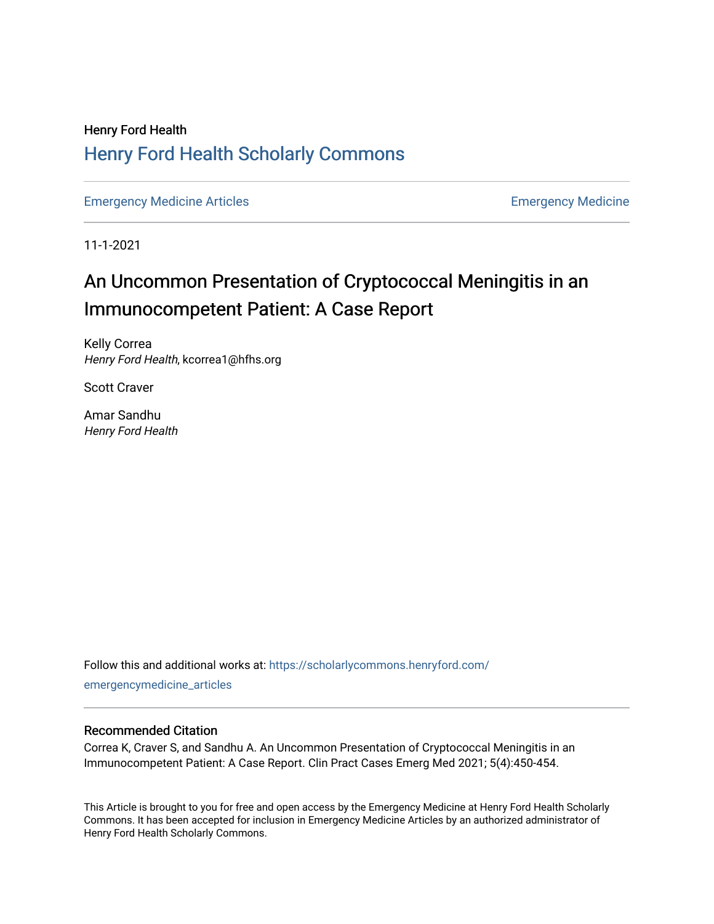## Henry Ford Health [Henry Ford Health Scholarly Commons](https://scholarlycommons.henryford.com/)

[Emergency Medicine Articles](https://scholarlycommons.henryford.com/emergencymedicine_articles) **Emergency Medicine** 

11-1-2021

## An Uncommon Presentation of Cryptococcal Meningitis in an Immunocompetent Patient: A Case Report

Kelly Correa Henry Ford Health, kcorrea1@hfhs.org

Scott Craver

Amar Sandhu Henry Ford Health

Follow this and additional works at: [https://scholarlycommons.henryford.com/](https://scholarlycommons.henryford.com/emergencymedicine_articles?utm_source=scholarlycommons.henryford.com%2Femergencymedicine_articles%2F249&utm_medium=PDF&utm_campaign=PDFCoverPages) [emergencymedicine\\_articles](https://scholarlycommons.henryford.com/emergencymedicine_articles?utm_source=scholarlycommons.henryford.com%2Femergencymedicine_articles%2F249&utm_medium=PDF&utm_campaign=PDFCoverPages) 

### Recommended Citation

Correa K, Craver S, and Sandhu A. An Uncommon Presentation of Cryptococcal Meningitis in an Immunocompetent Patient: A Case Report. Clin Pract Cases Emerg Med 2021; 5(4):450-454.

This Article is brought to you for free and open access by the Emergency Medicine at Henry Ford Health Scholarly Commons. It has been accepted for inclusion in Emergency Medicine Articles by an authorized administrator of Henry Ford Health Scholarly Commons.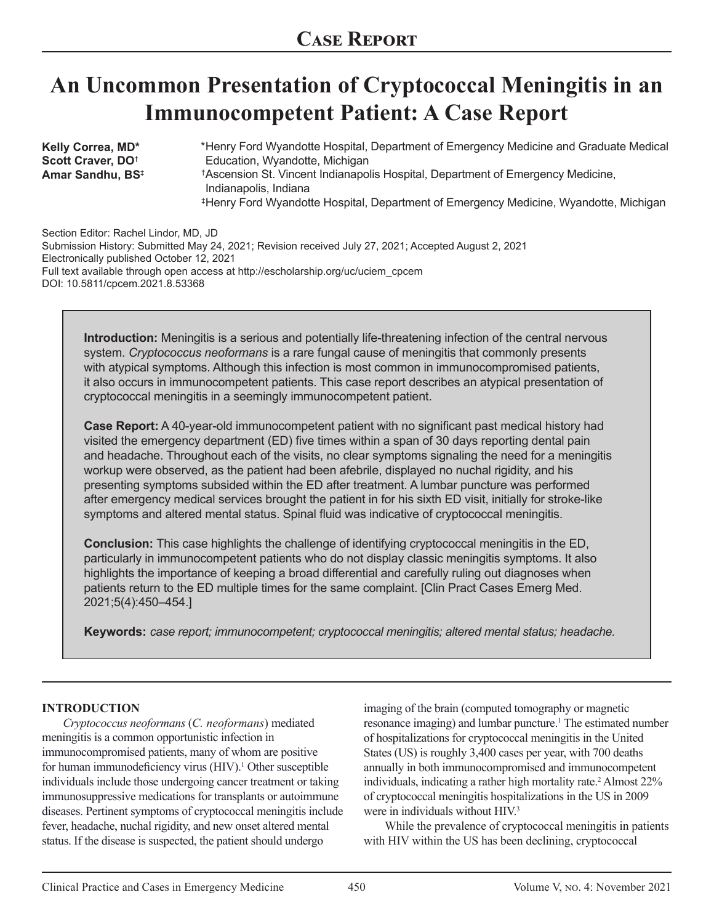# **An Uncommon Presentation of Cryptococcal Meningitis in an Immunocompetent Patient: A Case Report**

**Kelly Correa, MD\* Scott Craver, DO**† **Amar Sandhu, BS**‡ \*Henry Ford Wyandotte Hospital, Department of Emergency Medicine and Graduate Medical Education, Wyandotte, Michigan Ascension St. Vincent Indianapolis Hospital, Department of Emergency Medicine, † Indianapolis, Indiana ‡Henry Ford Wyandotte Hospital, Department of Emergency Medicine, Wyandotte, Michigan

Section Editor: Rachel Lindor, MD, JD Submission History: Submitted May 24, 2021; Revision received July 27, 2021; Accepted August 2, 2021 Electronically published October 12, 2021 Full text available through open access at http://escholarship.org/uc/uciem\_cpcem DOI: 10.5811/cpcem.2021.8.53368

**Introduction:** Meningitis is a serious and potentially life-threatening infection of the central nervous system. *Cryptococcus neoformans* is a rare fungal cause of meningitis that commonly presents with atypical symptoms. Although this infection is most common in immunocompromised patients, it also occurs in immunocompetent patients. This case report describes an atypical presentation of cryptococcal meningitis in a seemingly immunocompetent patient.

**Case Report:** A 40-year-old immunocompetent patient with no significant past medical history had visited the emergency department (ED) five times within a span of 30 days reporting dental pain and headache. Throughout each of the visits, no clear symptoms signaling the need for a meningitis workup were observed, as the patient had been afebrile, displayed no nuchal rigidity, and his presenting symptoms subsided within the ED after treatment. A lumbar puncture was performed after emergency medical services brought the patient in for his sixth ED visit, initially for stroke-like symptoms and altered mental status. Spinal fluid was indicative of cryptococcal meningitis.

**Conclusion:** This case highlights the challenge of identifying cryptococcal meningitis in the ED, particularly in immunocompetent patients who do not display classic meningitis symptoms. It also highlights the importance of keeping a broad differential and carefully ruling out diagnoses when patients return to the ED multiple times for the same complaint. [Clin Pract Cases Emerg Med. 2021;5(4):450–454.]

**Keywords:** *case report; immunocompetent; cryptococcal meningitis; altered mental status; headache.*

### **INTRODUCTION**

*Cryptococcus neoformans* (*C. neoformans*) mediated meningitis is a common opportunistic infection in immunocompromised patients, many of whom are positive for human immunodeficiency virus (HIV).<sup>1</sup> Other susceptible individuals include those undergoing cancer treatment or taking immunosuppressive medications for transplants or autoimmune diseases. Pertinent symptoms of cryptococcal meningitis include fever, headache, nuchal rigidity, and new onset altered mental status. If the disease is suspected, the patient should undergo

imaging of the brain (computed tomography or magnetic resonance imaging) and lumbar puncture.<sup>1</sup> The estimated number of hospitalizations for cryptococcal meningitis in the United States (US) is roughly 3,400 cases per year, with 700 deaths annually in both immunocompromised and immunocompetent individuals, indicating a rather high mortality rate.<sup>2</sup> Almost 22% of cryptococcal meningitis hospitalizations in the US in 2009 were in individuals without HIV.<sup>3</sup>

While the prevalence of cryptococcal meningitis in patients with HIV within the US has been declining, cryptococcal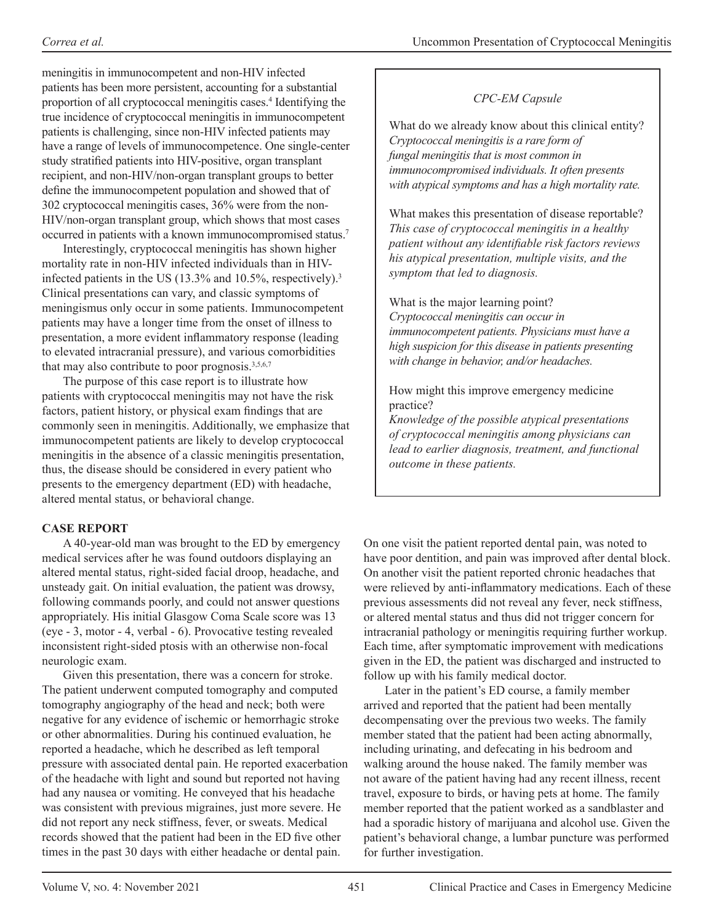meningitis in immunocompetent and non-HIV infected patients has been more persistent, accounting for a substantial proportion of all cryptococcal meningitis cases.<sup>4</sup> Identifying the true incidence of cryptococcal meningitis in immunocompetent patients is challenging, since non-HIV infected patients may have a range of levels of immunocompetence. One single-center study stratified patients into HIV-positive, organ transplant recipient, and non-HIV/non-organ transplant groups to better define the immunocompetent population and showed that of 302 cryptococcal meningitis cases, 36% were from the non-HIV/non-organ transplant group, which shows that most cases occurred in patients with a known immunocompromised status.7

Interestingly, cryptococcal meningitis has shown higher mortality rate in non-HIV infected individuals than in HIVinfected patients in the US (13.3% and 10.5%, respectively).<sup>3</sup> Clinical presentations can vary, and classic symptoms of meningismus only occur in some patients. Immunocompetent patients may have a longer time from the onset of illness to presentation, a more evident inflammatory response (leading to elevated intracranial pressure), and various comorbidities that may also contribute to poor prognosis.<sup>3,5,6,7</sup>

The purpose of this case report is to illustrate how patients with cryptococcal meningitis may not have the risk factors, patient history, or physical exam findings that are commonly seen in meningitis. Additionally, we emphasize that immunocompetent patients are likely to develop cryptococcal meningitis in the absence of a classic meningitis presentation, thus, the disease should be considered in every patient who presents to the emergency department (ED) with headache, altered mental status, or behavioral change.

## **CASE REPORT**

A 40-year-old man was brought to the ED by emergency medical services after he was found outdoors displaying an altered mental status, right-sided facial droop, headache, and unsteady gait. On initial evaluation, the patient was drowsy, following commands poorly, and could not answer questions appropriately. His initial Glasgow Coma Scale score was 13 (eye - 3, motor - 4, verbal - 6). Provocative testing revealed inconsistent right-sided ptosis with an otherwise non-focal neurologic exam.

Given this presentation, there was a concern for stroke. The patient underwent computed tomography and computed tomography angiography of the head and neck; both were negative for any evidence of ischemic or hemorrhagic stroke or other abnormalities. During his continued evaluation, he reported a headache, which he described as left temporal pressure with associated dental pain. He reported exacerbation of the headache with light and sound but reported not having had any nausea or vomiting. He conveyed that his headache was consistent with previous migraines, just more severe. He did not report any neck stiffness, fever, or sweats. Medical records showed that the patient had been in the ED five other times in the past 30 days with either headache or dental pain.

## *CPC-EM Capsule*

What do we already know about this clinical entity? *Cryptococcal meningitis is a rare form of fungal meningitis that is most common in immunocompromised individuals. It often presents with atypical symptoms and has a high mortality rate.*

What makes this presentation of disease reportable? *This case of cryptococcal meningitis in a healthy patient without any identifiable risk factors reviews his atypical presentation, multiple visits, and the symptom that led to diagnosis.*

What is the major learning point? *Cryptococcal meningitis can occur in immunocompetent patients. Physicians must have a high suspicion for this disease in patients presenting with change in behavior, and/or headaches.*

How might this improve emergency medicine practice?

*Knowledge of the possible atypical presentations of cryptococcal meningitis among physicians can lead to earlier diagnosis, treatment, and functional outcome in these patients.*

On one visit the patient reported dental pain, was noted to have poor dentition, and pain was improved after dental block. On another visit the patient reported chronic headaches that were relieved by anti-inflammatory medications. Each of these previous assessments did not reveal any fever, neck stiffness, or altered mental status and thus did not trigger concern for intracranial pathology or meningitis requiring further workup. Each time, after symptomatic improvement with medications given in the ED, the patient was discharged and instructed to follow up with his family medical doctor.

Later in the patient's ED course, a family member arrived and reported that the patient had been mentally decompensating over the previous two weeks. The family member stated that the patient had been acting abnormally, including urinating, and defecating in his bedroom and walking around the house naked. The family member was not aware of the patient having had any recent illness, recent travel, exposure to birds, or having pets at home. The family member reported that the patient worked as a sandblaster and had a sporadic history of marijuana and alcohol use. Given the patient's behavioral change, a lumbar puncture was performed for further investigation.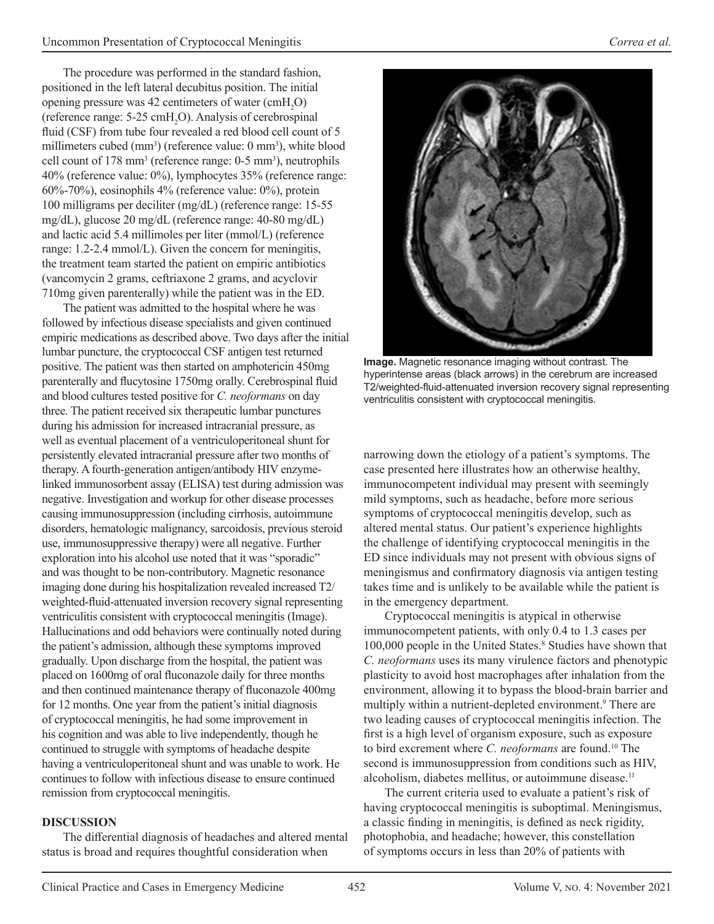The procedure was performed in the standard fashion, positioned in the left lateral decubitus position. The initial opening pressure was 42 centimeters of water  $(cmH_2O)$ (reference range:  $5{\text -}25$  cmH<sub>2</sub>O). Analysis of cerebrospinal fluid (CSF) from tube four revealed a red blood cell count of 5 millimeters cubed (mm<sup>3</sup>) (reference value: 0 mm<sup>3</sup>), white blood cell count of 178 mm<sup>3</sup> (reference range: 0-5 mm<sup>3</sup>), neutrophils 40% (reference value: 0%), lymphocytes 35% (reference range: 60%-70%), eosinophils 4% (reference value: 0%), protein 100 milligrams per deciliter (mg/dL) (reference range: 15-55 mg/dL), glucose 20 mg/dL (reference range: 40-80 mg/dL) and lactic acid 5.4 millimoles per liter (mmol/L) (reference range: 1.2-2.4 mmol/L). Given the concern for meningitis, the treatment team started the patient on empiric antibiotics (vancomycin 2 grams, ceftriaxone 2 grams, and acyclovir 710mg given parenterally) while the patient was in the ED.

The patient was admitted to the hospital where he was followed by infectious disease specialists and given continued empiric medications as described above. Two days after the initial lumbar puncture, the cryptococcal CSF antigen test returned positive. The patient was then started on amphotericin 450mg parenterally and flucytosine 1750mg orally. Cerebrospinal fluid and blood cultures tested positive for *C. neoformans* on day three. The patient received six therapeutic lumbar punctures during his admission for increased intracranial pressure, as well as eventual placement of a ventriculoperitoneal shunt for persistently elevated intracranial pressure after two months of therapy. A fourth-generation antigen/antibody HIV enzymelinked immunosorbent assay (ELISA) test during admission was negative. Investigation and workup for other disease processes causing immunosuppression (including cirrhosis, autoimmune disorders, hematologic malignancy, sarcoidosis, previous steroid use, immunosuppressive therapy) were all negative. Further exploration into his alcohol use noted that it was "sporadic" and was thought to be non-contributory. Magnetic resonance imaging done during his hospitalization revealed increased T2/ weighted-fluid-attenuated inversion recovery signal representing ventriculitis consistent with cryptococcal meningitis (Image). Hallucinations and odd behaviors were continually noted during the patient's admission, although these symptoms improved gradually. Upon discharge from the hospital, the patient was placed on 1600mg of oral fluconazole daily for three months and then continued maintenance therapy of fluconazole 400mg for 12 months. One year from the patient's initial diagnosis of cryptococcal meningitis, he had some improvement in his cognition and was able to live independently, though he continued to struggle with symptoms of headache despite having a ventriculoperitoneal shunt and was unable to work. He continues to follow with infectious disease to ensure continued remission from cryptococcal meningitis.

## **DISCUSSION**

The differential diagnosis of headaches and altered mental status is broad and requires thoughtful consideration when



**Image.** Magnetic resonance imaging without contrast. The hyperintense areas (black arrows) in the cerebrum are increased T2/weighted-fluid-attenuated inversion recovery signal representing ventriculitis consistent with cryptococcal meningitis.

narrowing down the etiology of a patient's symptoms. The case presented here illustrates how an otherwise healthy, immunocompetent individual may present with seemingly mild symptoms, such as headache, before more serious symptoms of cryptococcal meningitis develop, such as altered mental status. Our patient's experience highlights the challenge of identifying cryptococcal meningitis in the ED since individuals may not present with obvious signs of meningismus and confirmatory diagnosis via antigen testing takes time and is unlikely to be available while the patient is in the emergency department.

Cryptococcal meningitis is atypical in otherwise immunocompetent patients, with only 0.4 to 1.3 cases per 100,000 people in the United States.<sup>8</sup> Studies have shown that *C. neoformans* uses its many virulence factors and phenotypic plasticity to avoid host macrophages after inhalation from the environment, allowing it to bypass the blood-brain barrier and multiply within a nutrient-depleted environment.<sup>9</sup> There are two leading causes of cryptococcal meningitis infection. The first is a high level of organism exposure, such as exposure to bird excrement where *C. neoformans* are found.10 The second is immunosuppression from conditions such as HIV, alcoholism, diabetes mellitus, or autoimmune disease.<sup>11</sup>

The current criteria used to evaluate a patient's risk of having cryptococcal meningitis is suboptimal. Meningismus, a classic finding in meningitis, is defined as neck rigidity, photophobia, and headache; however, this constellation of symptoms occurs in less than 20% of patients with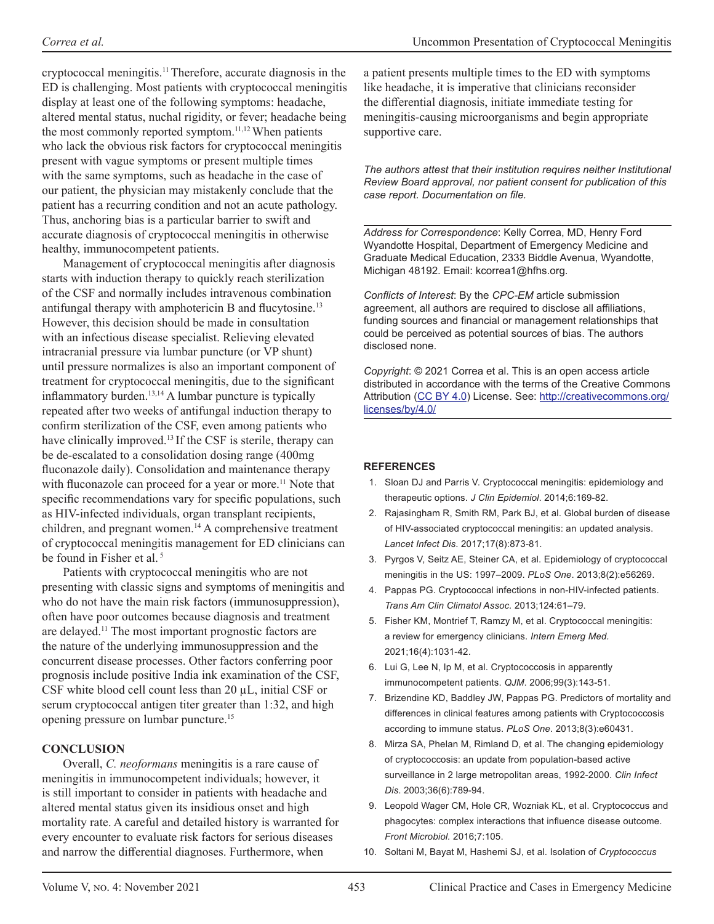cryptococcal meningitis.11 Therefore, accurate diagnosis in the ED is challenging. Most patients with cryptococcal meningitis display at least one of the following symptoms: headache, altered mental status, nuchal rigidity, or fever; headache being the most commonly reported symptom.<sup>11,12</sup> When patients who lack the obvious risk factors for cryptococcal meningitis present with vague symptoms or present multiple times with the same symptoms, such as headache in the case of our patient, the physician may mistakenly conclude that the patient has a recurring condition and not an acute pathology. Thus, anchoring bias is a particular barrier to swift and accurate diagnosis of cryptococcal meningitis in otherwise healthy, immunocompetent patients.

Management of cryptococcal meningitis after diagnosis starts with induction therapy to quickly reach sterilization of the CSF and normally includes intravenous combination antifungal therapy with amphotericin B and flucytosine.<sup>13</sup> However, this decision should be made in consultation with an infectious disease specialist. Relieving elevated intracranial pressure via lumbar puncture (or VP shunt) until pressure normalizes is also an important component of treatment for cryptococcal meningitis, due to the significant inflammatory burden. $13,14$  A lumbar puncture is typically repeated after two weeks of antifungal induction therapy to confirm sterilization of the CSF, even among patients who have clinically improved.<sup>13</sup> If the CSF is sterile, therapy can be de-escalated to a consolidation dosing range (400mg fluconazole daily). Consolidation and maintenance therapy with fluconazole can proceed for a year or more.<sup>11</sup> Note that specific recommendations vary for specific populations, such as HIV-infected individuals, organ transplant recipients, children, and pregnant women.14 A comprehensive treatment of cryptococcal meningitis management for ED clinicians can be found in Fisher et al.<sup>5</sup>

Patients with cryptococcal meningitis who are not presenting with classic signs and symptoms of meningitis and who do not have the main risk factors (immunosuppression), often have poor outcomes because diagnosis and treatment are delayed.11 The most important prognostic factors are the nature of the underlying immunosuppression and the concurrent disease processes. Other factors conferring poor prognosis include positive India ink examination of the CSF, CSF white blood cell count less than 20 µL, initial CSF or serum cryptococcal antigen titer greater than 1:32, and high opening pressure on lumbar puncture.15

### **CONCLUSION**

Overall, *C. neoformans* meningitis is a rare cause of meningitis in immunocompetent individuals; however, it is still important to consider in patients with headache and altered mental status given its insidious onset and high mortality rate. A careful and detailed history is warranted for every encounter to evaluate risk factors for serious diseases and narrow the differential diagnoses. Furthermore, when

a patient presents multiple times to the ED with symptoms like headache, it is imperative that clinicians reconsider the differential diagnosis, initiate immediate testing for meningitis-causing microorganisms and begin appropriate supportive care.

*The authors attest that their institution requires neither Institutional Review Board approval, nor patient consent for publication of this case report. Documentation on file.*

*Address for Correspondence*: Kelly Correa, MD, Henry Ford Wyandotte Hospital, Department of Emergency Medicine and Graduate Medical Education, 2333 Biddle Avenua, Wyandotte, Michigan 48192. Email: kcorrea1@hfhs.org.

*Conflicts of Interest*: By the *CPC-EM* article submission agreement, all authors are required to disclose all affiliations, funding sources and financial or management relationships that could be perceived as potential sources of bias. The authors disclosed none.

*Copyright*: © 2021 Correa et al. This is an open access article distributed in accordance with the terms of the Creative Commons Attribution (CC BY 4.0) License. See: http://creativecommons.org/ licenses/by/4.0/

### **REFERENCES**

- 1. Sloan DJ and Parris V. Cryptococcal meningitis: epidemiology and therapeutic options. *J Clin Epidemiol*. 2014;6:169-82.
- 2. Rajasingham R, Smith RM, Park BJ, et al. Global burden of disease of HIV-associated cryptococcal meningitis: an updated analysis. *Lancet Infect Dis*. 2017;17(8):873-81.
- 3. Pyrgos V, Seitz AE, Steiner CA, et al. Epidemiology of cryptococcal meningitis in the US: 1997–2009. *PLoS One*. 2013;8(2):e56269.
- 4. Pappas PG. Cryptococcal infections in non-HIV-infected patients. *Trans Am Clin Climatol Assoc.* 2013;124:61–79.
- 5. Fisher KM, Montrief T, Ramzy M, et al. Cryptococcal meningitis: a review for emergency clinicians. *Intern Emerg Med.* 2021;16(4):1031-42.
- 6. Lui G, Lee N, Ip M, et al. Cryptococcosis in apparently immunocompetent patients. *QJM*. 2006;99(3):143-51.
- 7. Brizendine KD, Baddley JW, Pappas PG. Predictors of mortality and differences in clinical features among patients with Cryptococcosis according to immune status. *PLoS One*. 2013;8(3):e60431.
- 8. Mirza SA, Phelan M, Rimland D, et al. The changing epidemiology of cryptococcosis: an update from population-based active surveillance in 2 large metropolitan areas, 1992-2000. *Clin Infect Dis*. 2003;36(6):789-94.
- 9. Leopold Wager CM, Hole CR, Wozniak KL, et al. Cryptococcus and phagocytes: complex interactions that influence disease outcome. *Front Microbiol.* 2016;7:105.
- 10. Soltani M, Bayat M, Hashemi SJ, et al. Isolation of *Cryptococcus*